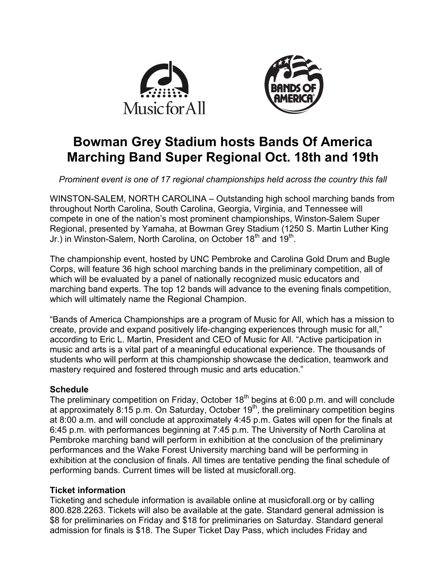



# **Bowman Grey Stadium hosts Bands Of America Marching Band Super Regional Oct. 18th and 19th**

*Prominent event is one of 17 regional championships held across the country this fall*

WINSTON-SALEM, NORTH CAROLINA – Outstanding high school marching bands from throughout North Carolina, South Carolina, Georgia, Virginia, and Tennessee will compete in one of the nation's most prominent championships, Winston-Salem Super Regional, presented by Yamaha, at Bowman Grey Stadium (1250 S. Martin Luther King Jr.) in Winston-Salem, North Carolina, on October 18<sup>th</sup> and 19<sup>th</sup>.

The championship event, hosted by UNC Pembroke and Carolina Gold Drum and Bugle Corps, will feature 36 high school marching bands in the preliminary competition, all of which will be evaluated by a panel of nationally recognized music educators and marching band experts. The top 12 bands will advance to the evening finals competition, which will ultimately name the Regional Champion.

"Bands of America Championships are a program of Music for All, which has a mission to create, provide and expand positively life-changing experiences through music for all," according to Eric L. Martin, President and CEO of Music for All. "Active participation in music and arts is a vital part of a meaningful educational experience. The thousands of students who will perform at this championship showcase the dedication, teamwork and mastery required and fostered through music and arts education."

# **Schedule**

The preliminary competition on Friday, October  $18<sup>th</sup>$  begins at 6:00 p.m. and will conclude at approximately 8:15 p.m. On Saturday, October  $19<sup>th</sup>$ , the preliminary competition begins at 8:00 a.m. and will conclude at approximately 4:45 p.m. Gates will open for the finals at 6:45 p.m. with performances beginning at 7:45 p.m. The University of North Carolina at Pembroke marching band will perform in exhibition at the conclusion of the preliminary performances and the Wake Forest University marching band will be performing in exhibition at the conclusion of finals. All times are tentative pending the final schedule of performing bands. Current times will be listed at musicforall.org.

# **Ticket information**

Ticketing and schedule information is available online at musicforall.org or by calling 800.828.2263. Tickets will also be available at the gate. Standard general admission is \$8 for preliminaries on Friday and \$18 for preliminaries on Saturday. Standard general admission for finals is \$18. The Super Ticket Day Pass, which includes Friday and